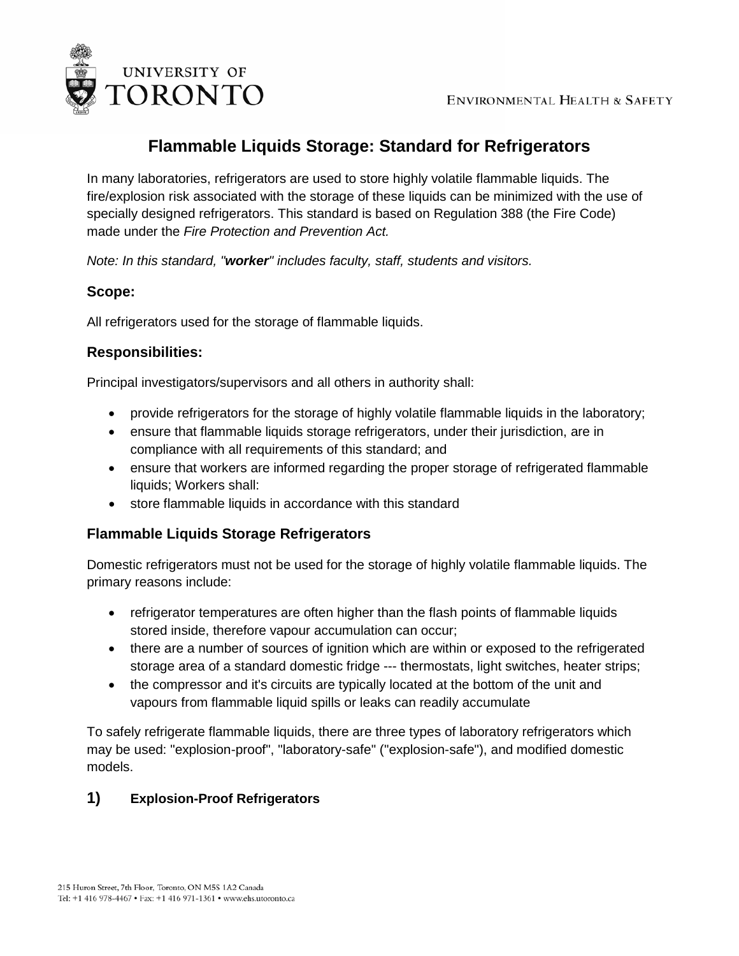

# **Flammable Liquids Storage: Standard for Refrigerators**

In many laboratories, refrigerators are used to store highly volatile flammable liquids. The fire/explosion risk associated with the storage of these liquids can be minimized with the use of specially designed refrigerators. This standard is based on Regulation 388 (the Fire Code) made under the *Fire Protection and Prevention Act.*

*Note: In this standard, "worker" includes faculty, staff, students and visitors.*

## **Scope:**

All refrigerators used for the storage of flammable liquids.

## **Responsibilities:**

Principal investigators/supervisors and all others in authority shall:

- provide refrigerators for the storage of highly volatile flammable liquids in the laboratory;
- ensure that flammable liquids storage refrigerators, under their jurisdiction, are in compliance with all requirements of this standard; and
- ensure that workers are informed regarding the proper storage of refrigerated flammable liquids; Workers shall:
- store flammable liquids in accordance with this standard

### **Flammable Liquids Storage Refrigerators**

Domestic refrigerators must not be used for the storage of highly volatile flammable liquids. The primary reasons include:

- refrigerator temperatures are often higher than the flash points of flammable liquids stored inside, therefore vapour accumulation can occur;
- there are a number of sources of ignition which are within or exposed to the refrigerated storage area of a standard domestic fridge --- thermostats, light switches, heater strips;
- the compressor and it's circuits are typically located at the bottom of the unit and vapours from flammable liquid spills or leaks can readily accumulate

To safely refrigerate flammable liquids, there are three types of laboratory refrigerators which may be used: "explosion-proof", "laboratory-safe" ("explosion-safe"), and modified domestic models.

# **1) Explosion-Proof Refrigerators**